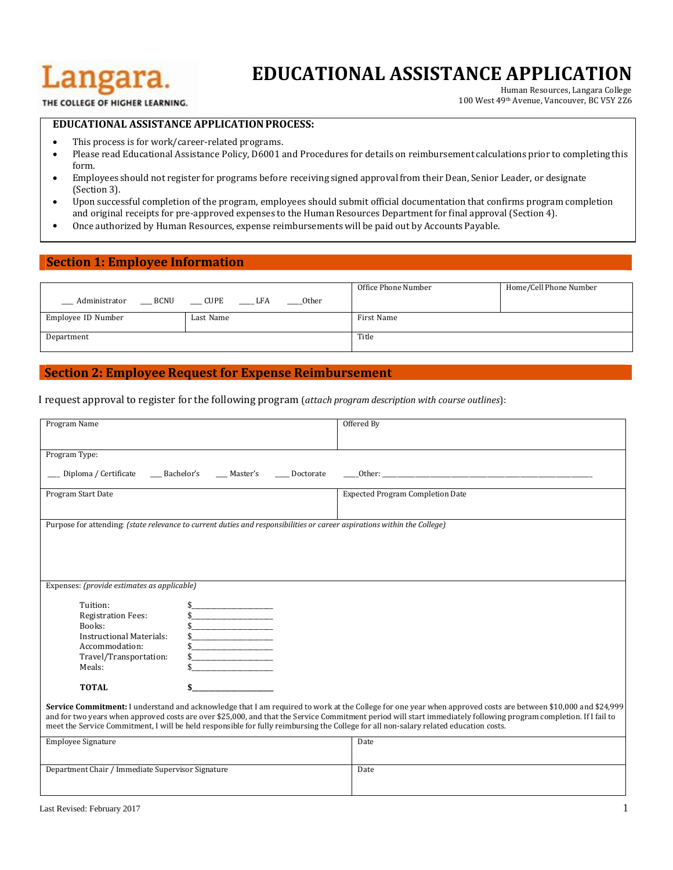# Langara.

## **EDUCATIONAL ASSISTANCE APPLICATION** Human Resources, Langara College

100 West 49th Avenue, Vancouver, BC V5Y 2Z6

THE COLLEGE OF HIGHER LEARNING.

#### **EDUCATIONAL ASSISTANCE APPLICATIONPROCESS:**

- This process is for work/career-related programs.
- Please read Educational Assistance Policy, D6001 and Procedures for details on reimbursement calculations prior to completing this form.
- Employees should not register for programs before receiving signed approval from their Dean, Senior Leader, or designate (Section 3).
- Upon successful completion of the program, employees should submit official documentation that confirms program completion and original receipts for pre-approved expenses to the Human Resources Departmentfor final approval(Section 4).
- Once authorized by Human Resources, expense reimbursementswill be paid out by Accounts Payable.

#### **Section 1: Employee Information**

|                              |                    |       | Office Phone Number | Home/Cell Phone Number |
|------------------------------|--------------------|-------|---------------------|------------------------|
| <b>BCNU</b><br>Administrator | <b>CUPE</b><br>LFA | Other |                     |                        |
| Employee ID Number           | Last Name          |       | First Name          |                        |
| Department                   |                    |       | Title               |                        |

### **Section 2: Employee Request for Expense Reimbursement**

I request approval to register for the following program (*attach program description with course outlines*):

| Program Name                                                                                                                             |                                                                                                                                  | Offered By                                                                                                                                                                                                                                                                                                                                                                                                                                                                  |
|------------------------------------------------------------------------------------------------------------------------------------------|----------------------------------------------------------------------------------------------------------------------------------|-----------------------------------------------------------------------------------------------------------------------------------------------------------------------------------------------------------------------------------------------------------------------------------------------------------------------------------------------------------------------------------------------------------------------------------------------------------------------------|
| Program Type:                                                                                                                            |                                                                                                                                  |                                                                                                                                                                                                                                                                                                                                                                                                                                                                             |
| Diploma / Certificate                                                                                                                    | Bachelor's Master's<br>Doctorate                                                                                                 |                                                                                                                                                                                                                                                                                                                                                                                                                                                                             |
| Program Start Date                                                                                                                       |                                                                                                                                  | <b>Expected Program Completion Date</b>                                                                                                                                                                                                                                                                                                                                                                                                                                     |
|                                                                                                                                          | Purpose for attending: (state relevance to current duties and responsibilities or career aspirations within the College)         |                                                                                                                                                                                                                                                                                                                                                                                                                                                                             |
|                                                                                                                                          |                                                                                                                                  |                                                                                                                                                                                                                                                                                                                                                                                                                                                                             |
|                                                                                                                                          |                                                                                                                                  |                                                                                                                                                                                                                                                                                                                                                                                                                                                                             |
|                                                                                                                                          |                                                                                                                                  |                                                                                                                                                                                                                                                                                                                                                                                                                                                                             |
| Expenses: (provide estimates as applicable)                                                                                              |                                                                                                                                  |                                                                                                                                                                                                                                                                                                                                                                                                                                                                             |
| Tuition:<br><b>Registration Fees:</b><br>Books:<br><b>Instructional Materials:</b><br>Accommodation:<br>Travel/Transportation:<br>Meals: | <u> 1989 - Johann Barbara, martin a</u><br><u> 1989 - Johann Barbara, martin a</u><br><u> 1989 - Johann Barbara, martin basa</u> |                                                                                                                                                                                                                                                                                                                                                                                                                                                                             |
| <b>TOTAL</b>                                                                                                                             |                                                                                                                                  |                                                                                                                                                                                                                                                                                                                                                                                                                                                                             |
|                                                                                                                                          |                                                                                                                                  | Service Commitment: I understand and acknowledge that I am required to work at the College for one year when approved costs are between \$10,000 and \$24,999<br>and for two years when approved costs are over \$25,000, and that the Service Commitment period will start immediately following program completion. If I fail to<br>meet the Service Commitment, I will be held responsible for fully reimbursing the College for all non-salary related education costs. |
| Employee Signature                                                                                                                       |                                                                                                                                  | Date                                                                                                                                                                                                                                                                                                                                                                                                                                                                        |
| Department Chair / Immediate Supervisor Signature                                                                                        |                                                                                                                                  | Date                                                                                                                                                                                                                                                                                                                                                                                                                                                                        |
|                                                                                                                                          |                                                                                                                                  |                                                                                                                                                                                                                                                                                                                                                                                                                                                                             |